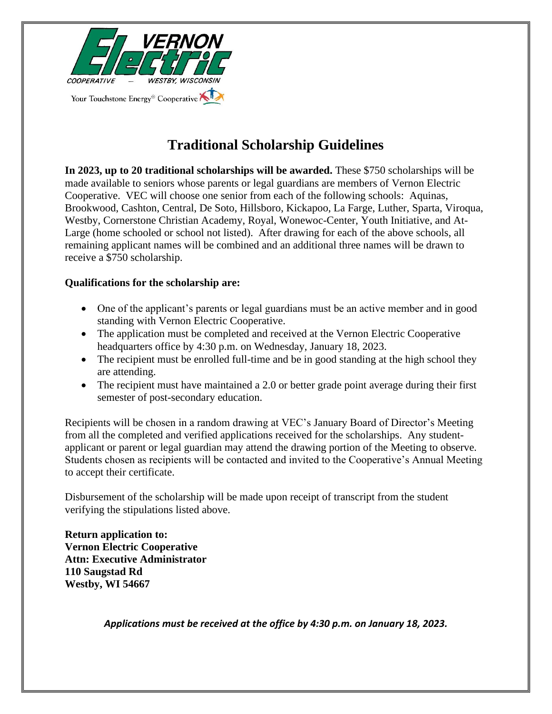

## **Traditional Scholarship Guidelines**

**In 2023, up to 20 traditional scholarships will be awarded.** These \$750 scholarships will be made available to seniors whose parents or legal guardians are members of Vernon Electric Cooperative. VEC will choose one senior from each of the following schools: Aquinas, Brookwood, Cashton, Central, De Soto, Hillsboro, Kickapoo, La Farge, Luther, Sparta, Viroqua, Westby, Cornerstone Christian Academy, Royal, Wonewoc-Center, Youth Initiative, and At-Large (home schooled or school not listed). After drawing for each of the above schools, all remaining applicant names will be combined and an additional three names will be drawn to receive a \$750 scholarship.

## **Qualifications for the scholarship are:**

- One of the applicant's parents or legal guardians must be an active member and in good standing with Vernon Electric Cooperative.
- The application must be completed and received at the Vernon Electric Cooperative headquarters office by 4:30 p.m. on Wednesday, January 18, 2023.
- The recipient must be enrolled full-time and be in good standing at the high school they are attending.
- The recipient must have maintained a 2.0 or better grade point average during their first semester of post-secondary education.

Recipients will be chosen in a random drawing at VEC's January Board of Director's Meeting from all the completed and verified applications received for the scholarships. Any studentapplicant or parent or legal guardian may attend the drawing portion of the Meeting to observe. Students chosen as recipients will be contacted and invited to the Cooperative's Annual Meeting to accept their certificate.

Disbursement of the scholarship will be made upon receipt of transcript from the student verifying the stipulations listed above.

**Return application to: Vernon Electric Cooperative Attn: Executive Administrator 110 Saugstad Rd Westby, WI 54667**

*Applications must be received at the office by 4:30 p.m. on January 18, 2023.*